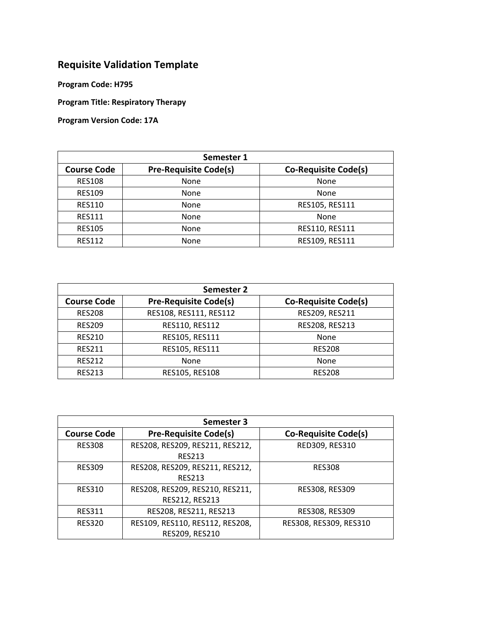## **Requisite Validation Template**

**Program Code: H795**

**Program Title: Respiratory Therapy**

**Program Version Code: 17A**

| Semester 1         |                              |                             |
|--------------------|------------------------------|-----------------------------|
| <b>Course Code</b> | <b>Pre-Requisite Code(s)</b> | <b>Co-Requisite Code(s)</b> |
| <b>RES108</b>      | None                         | None                        |
| <b>RES109</b>      | None                         | None                        |
| <b>RES110</b>      | None                         | RES105, RES111              |
| <b>RES111</b>      | None                         | None                        |
| <b>RES105</b>      | None                         | RES110, RES111              |
| <b>RES112</b>      | None                         | RES109, RES111              |

| Semester 2         |                              |                             |
|--------------------|------------------------------|-----------------------------|
| <b>Course Code</b> | <b>Pre-Requisite Code(s)</b> | <b>Co-Requisite Code(s)</b> |
| <b>RES208</b>      | RES108, RES111, RES112       | RES209, RES211              |
| <b>RES209</b>      | RES110, RES112               | RES208, RES213              |
| <b>RES210</b>      | RES105, RES111               | None                        |
| <b>RES211</b>      | RES105, RES111               | <b>RES208</b>               |
| <b>RES212</b>      | None                         | None                        |
| <b>RES213</b>      | RES105, RES108               | <b>RES208</b>               |

| Semester 3         |                                 |                             |
|--------------------|---------------------------------|-----------------------------|
| <b>Course Code</b> | <b>Pre-Requisite Code(s)</b>    | <b>Co-Requisite Code(s)</b> |
| <b>RES308</b>      | RES208, RES209, RES211, RES212, | RED309, RES310              |
|                    | <b>RES213</b>                   |                             |
| <b>RES309</b>      | RES208, RES209, RES211, RES212, | <b>RES308</b>               |
|                    | <b>RES213</b>                   |                             |
| <b>RES310</b>      | RES208, RES209, RES210, RES211, | RES308, RES309              |
|                    | RES212, RES213                  |                             |
| <b>RES311</b>      | RES208, RES211, RES213          | RES308, RES309              |
| <b>RES320</b>      | RES109, RES110, RES112, RES208, | RES308, RES309, RES310      |
|                    | RES209, RES210                  |                             |